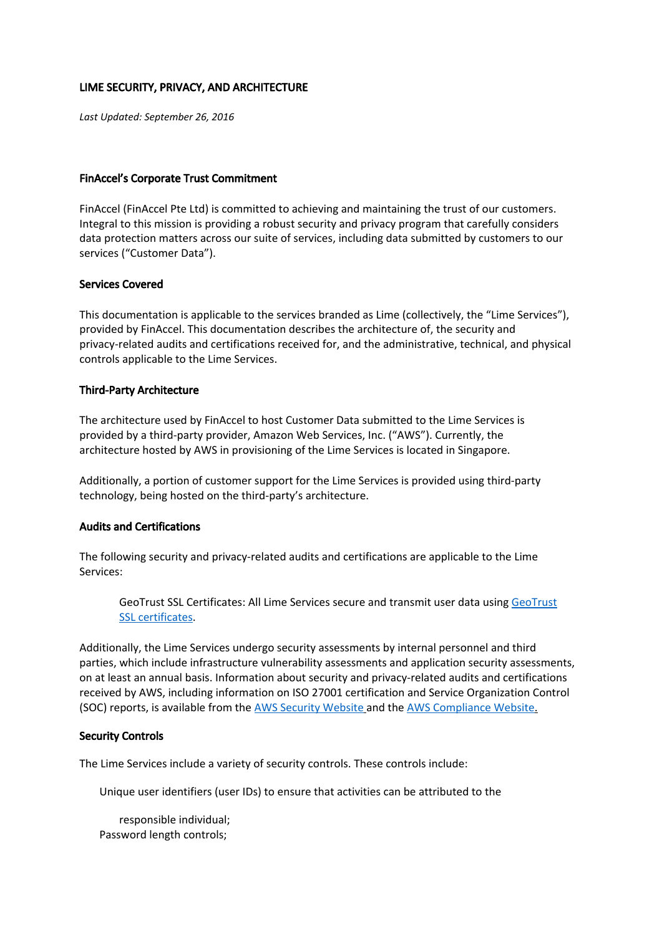# LIME SECURITY, PRIVACY, AND ARCHITECTURE

*Last Updated: September 26, 2016*

### FinAccel's Corporate Trust Commitment

FinAccel (FinAccel Pte Ltd) is committed to achieving and maintaining the trust of our customers. Integral to this mission is providing a robust security and privacy program that carefully considers data protection matters across our suite of services, including data submitted by customers to our services ("Customer Data").

## Services Covered

This documentation is applicable to the services branded as Lime (collectively, the "Lime Services"), provided by FinAccel. This documentation describes the architecture of, the security and privacy-related audits and certifications received for, and the administrative, technical, and physical controls applicable to the Lime Services.

## Third-Party Architecture

The architecture used by FinAccel to host Customer Data submitted to the Lime Services is provided by a third-party provider, Amazon Web Services, Inc. ("AWS"). Currently, the architecture hosted by AWS in provisioning of the Lime Services is located in Singapore.

Additionally, a portion of customer support for the Lime Services is provided using third-party technology, being hosted on the third-party's architecture.

## Audits and Certifications

The following security and privacy-related audits and certifications are applicable to the Lime Services:

[GeoTrust](https://www.geotrust.com/ssl/wildcard-ssl-certificates/) SSL Certificates: All Lime Services secure and transmit user data using GeoTrust SSL [certificates.](https://www.geotrust.com/ssl/wildcard-ssl-certificates/)

Additionally, the Lime Services undergo security assessments by internal personnel and third parties, which include infrastructure vulnerability assessments and application security assessments, on at least an annual basis. Information about security and privacy-related audits and certifications received by AWS, including information on ISO 27001 certification and Service Organization Control (SOC) reports, is available from the AWS Security [Website](http://aws.amazon.com/) and the AWS [Compliance](http://aws.amazon.com/) Website[.](http://aws.amazon.com/)

## Security Controls

The Lime Services include a variety of security controls. These controls include:

Unique user identifiers (user IDs) to ensure that activities can be attributed to the

responsible individual; Password length controls;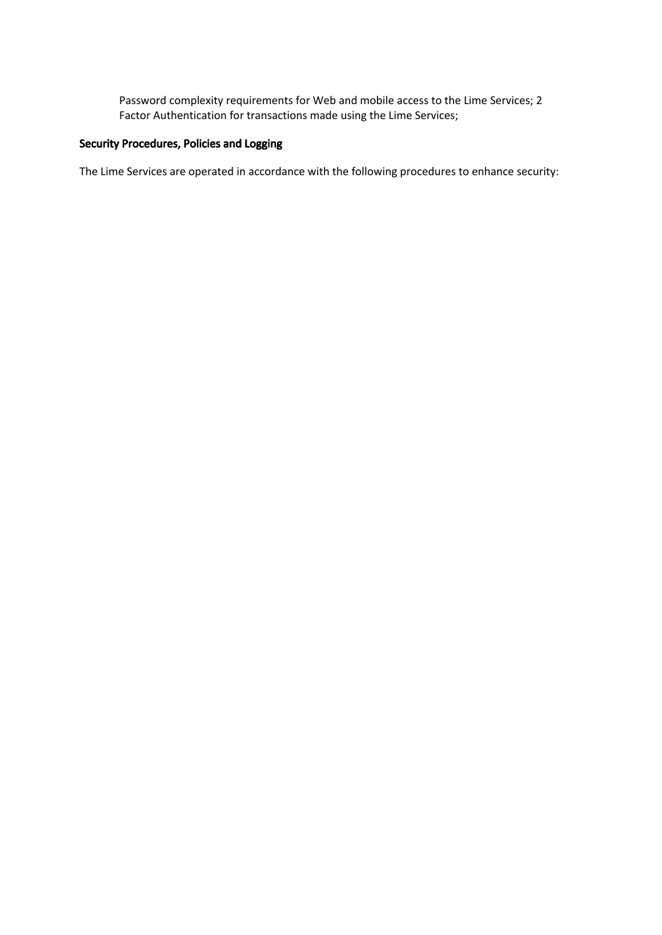Password complexity requirements for Web and mobile access to the Lime Services; 2 Factor Authentication for transactions made using the Lime Services;

# Security Procedures, Policies and Logging

The Lime Services are operated in accordance with the following procedures to enhance security: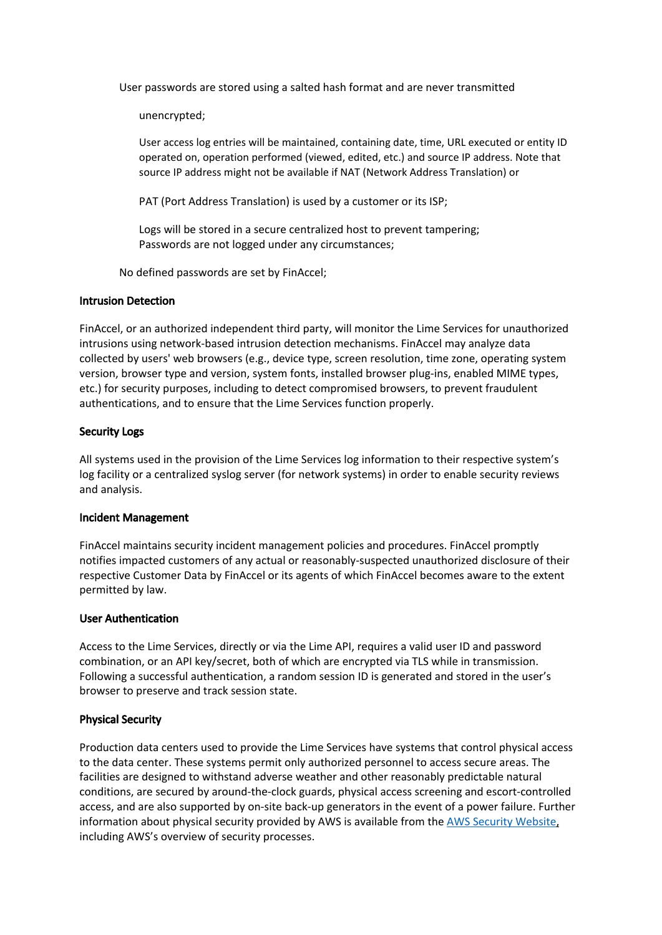User passwords are stored using a salted hash format and are never transmitted

unencrypted;

User access log entries will be maintained, containing date, time, URL executed or entity ID operated on, operation performed (viewed, edited, etc.) and source IP address. Note that source IP address might not be available if NAT (Network Address Translation) or

PAT (Port Address Translation) is used by a customer or its ISP;

Logs will be stored in a secure centralized host to prevent tampering; Passwords are not logged under any circumstances;

No defined passwords are set by FinAccel;

#### Intrusion Detection

FinAccel, or an authorized independent third party, will monitor the Lime Services for unauthorized intrusions using network-based intrusion detection mechanisms. FinAccel may analyze data collected by users' web browsers (e.g., device type, screen resolution, time zone, operating system version, browser type and version, system fonts, installed browser plug-ins, enabled MIME types, etc.) for security purposes, including to detect compromised browsers, to prevent fraudulent authentications, and to ensure that the Lime Services function properly.

## Security Logs

All systems used in the provision of the Lime Services log information to their respective system's log facility or a centralized syslog server (for network systems) in order to enable security reviews and analysis.

#### Incident Management

FinAccel maintains security incident management policies and procedures. FinAccel promptly notifies impacted customers of any actual or reasonably-suspected unauthorized disclosure of their respective Customer Data by FinAccel or its agents of which FinAccel becomes aware to the extent permitted by law.

## User Authentication

Access to the Lime Services, directly or via the Lime API, requires a valid user ID and password combination, or an API key/secret, both of which are encrypted via TLS while in transmission. Following a successful authentication, a random session ID is generated and stored in the user's browser to preserve and track session state.

## Physical Security

Production data centers used to provide the Lime Services have systems that control physical access to the data center. These systems permit only authorized personnel to access secure areas. The facilities are designed to withstand adverse weather and other reasonably predictable natural conditions, are secured by around-the-clock guards, physical access screening and escort-controlled access, and are also supported by on-site back-up generators in the event of a power failure. Further information about physical security provided by AWS is available from the AWS Security [Website,](http://aws.amazon.com/) including AWS's overview of security processes.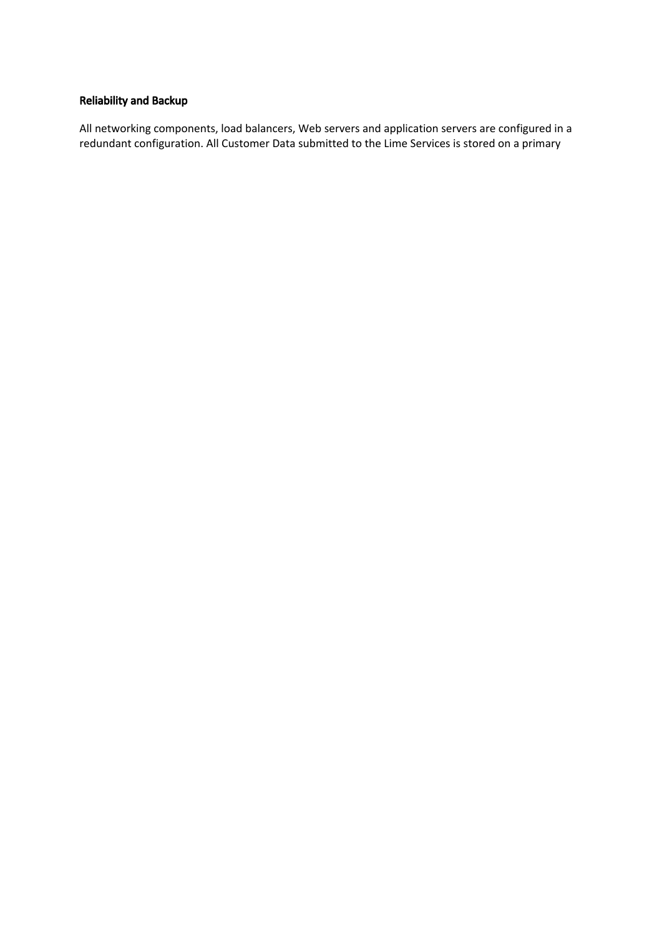# Reliability and Backup

All networking components, load balancers, Web servers and application servers are configured in a redundant configuration. All Customer Data submitted to the Lime Services is stored on a primary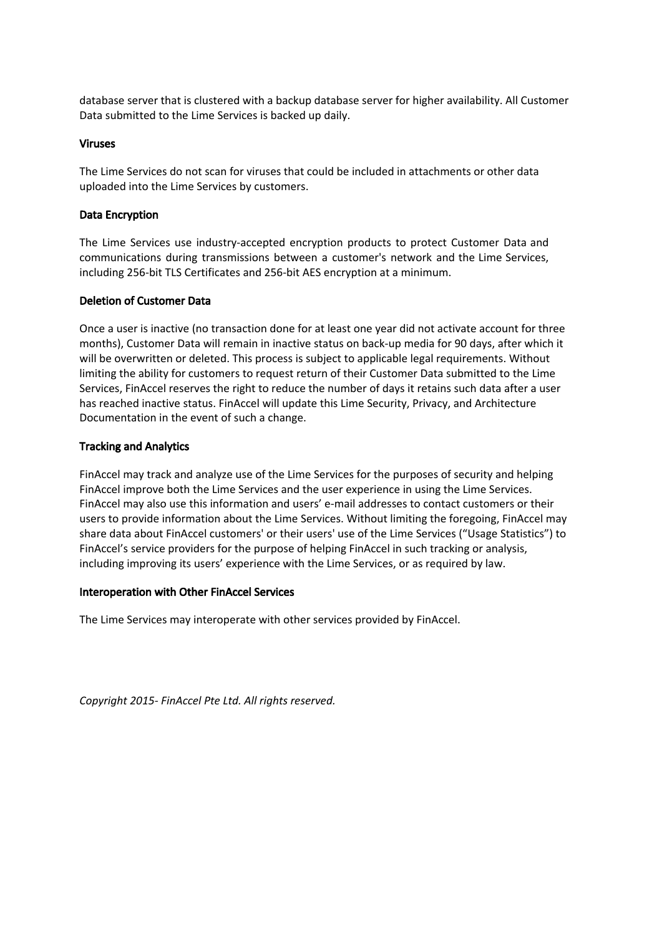database server that is clustered with a backup database server for higher availability. All Customer Data submitted to the Lime Services is backed up daily.

# Viruses

The Lime Services do not scan for viruses that could be included in attachments or other data uploaded into the Lime Services by customers.

# Data Encryption

The Lime Services use industry-accepted encryption products to protect Customer Data and communications during transmissions between a customer's network and the Lime Services, including 256-bit TLS Certificates and 256-bit AES encryption at a minimum.

# Deletion of Customer Data

Once a user is inactive (no transaction done for at least one year did not activate account for three months), Customer Data will remain in inactive status on back-up media for 90 days, after which it will be overwritten or deleted. This process is subject to applicable legal requirements. Without limiting the ability for customers to request return of their Customer Data submitted to the Lime Services, FinAccel reserves the right to reduce the number of days it retains such data after a user has reached inactive status. FinAccel will update this Lime Security, Privacy, and Architecture Documentation in the event of such a change.

# Tracking and Analytics

FinAccel may track and analyze use of the Lime Services for the purposes of security and helping FinAccel improve both the Lime Services and the user experience in using the Lime Services. FinAccel may also use this information and users' e-mail addresses to contact customers or their users to provide information about the Lime Services. Without limiting the foregoing, FinAccel may share data about FinAccel customers' or their users' use of the Lime Services ("Usage Statistics") to FinAccel's service providers for the purpose of helping FinAccel in such tracking or analysis, including improving its users' experience with the Lime Services, or as required by law.

## Interoperation with Other FinAccel Services

The Lime Services may interoperate with other services provided by FinAccel.

*Copyright 2015- FinAccel Pte Ltd. All rights reserved.*